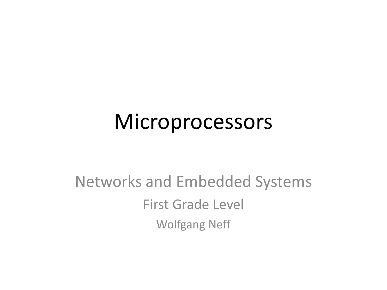#### **Microprocessors**

#### Networks and Embedded Systems First Grade Level Wolfgang Neff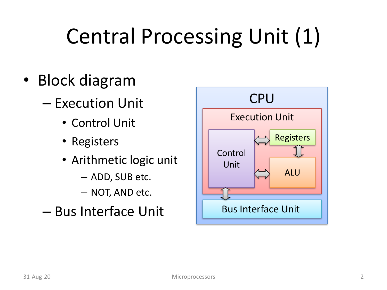### Central Processing Unit (1)

- Block diagram
	- Execution Unit
		- Control Unit
		- Registers
		- Arithmetic logic unit
			- ADD, SUB etc.
			- NOT, AND etc.
	- Bus Interface Unit

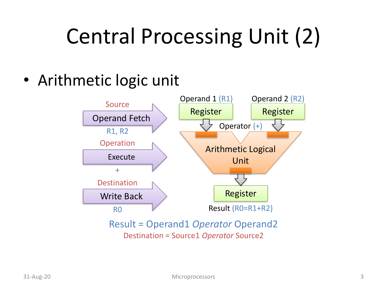### Central Processing Unit (2)

• Arithmetic logic unit



Result = Operand1 *Operator* Operand2 Destination = Source1 *Operator* Source2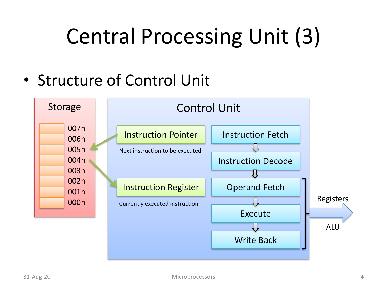#### Central Processing Unit (3)

• Structure of Control Unit

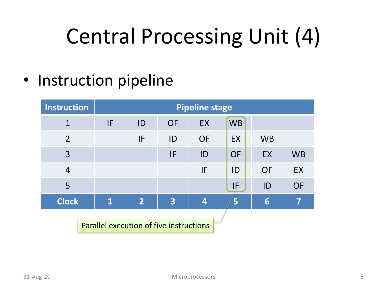### Central Processing Unit (4)

• Instruction pipeline

| <b>Instruction</b>                      |                         | <b>Pipeline stage</b> |                         |                         |           |           |           |  |
|-----------------------------------------|-------------------------|-----------------------|-------------------------|-------------------------|-----------|-----------|-----------|--|
| $\mathbf{1}$                            | IF                      | ID                    | <b>OF</b>               | EX                      | <b>WB</b> |           |           |  |
| $\overline{2}$                          |                         | IF                    | ID                      | <b>OF</b>               | EX        | <b>WB</b> |           |  |
| $\overline{3}$                          |                         |                       | IF                      | ID                      | <b>OF</b> | EX        | <b>WB</b> |  |
| $\overline{4}$                          |                         |                       |                         | IF                      | ID        | <b>OF</b> | EX        |  |
| 5                                       |                         |                       |                         |                         | IF        | ID        | <b>OF</b> |  |
| <b>Clock</b>                            | $\overline{\mathbf{1}}$ | $\overline{2}$        | $\overline{\mathbf{3}}$ | $\overline{\mathbf{4}}$ | 5         | 6         | 7         |  |
| Parallel execution of five instructions |                         |                       |                         |                         |           |           |           |  |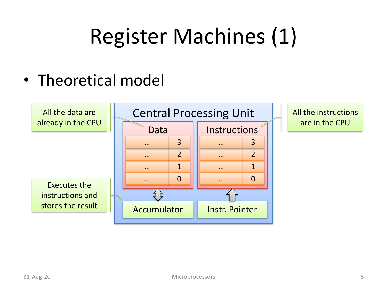#### • Theoretical model

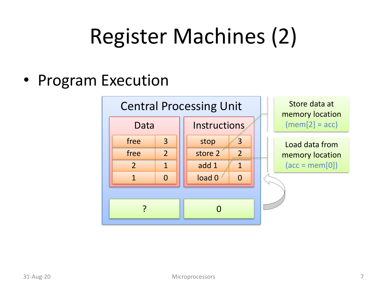• Program Execution

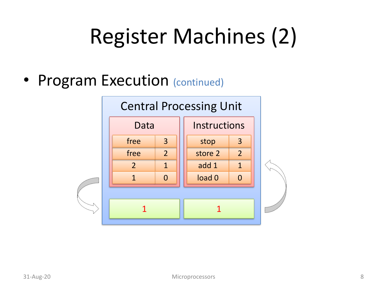• Program Execution (continued)

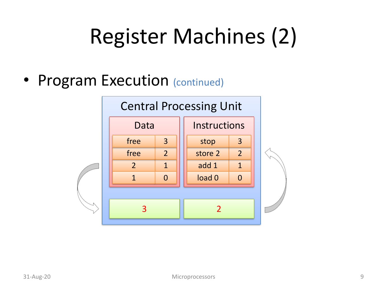• Program Execution (continued)

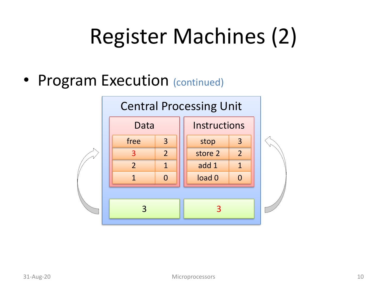• Program Execution (continued)

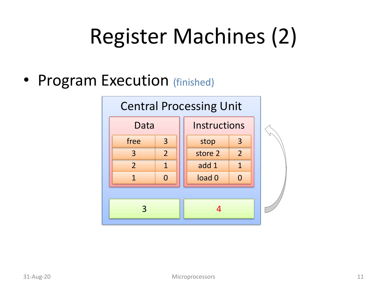• Program Execution (finished)

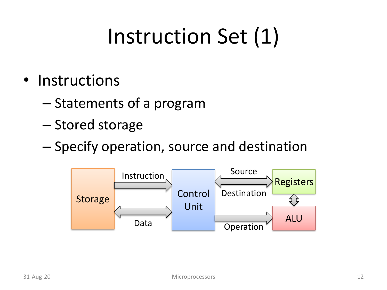#### Instruction Set (1)

- Instructions
	- Statements of a program
	- Stored storage
	- Specify operation, source and destination

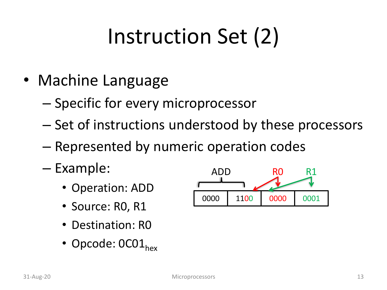### Instruction Set (2)

- Machine Language
	- Specific for every microprocessor
	- Set of instructions understood by these processors
	- Represented by numeric operation codes
	- Example:
		- Operation: ADD
		- Source: R0, R1
		- Destination: RO
		- Opcode:  $0C01_{hex}$

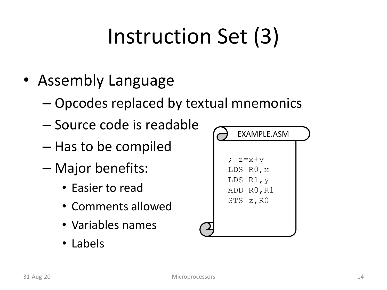#### Instruction Set (3)

- Assembly Language
	- Opcodes replaced by textual mnemonics
	- Source code is readable
	- Has to be compiled
	- Major benefits:
		- Easier to read
		- Comments allowed
		- Variables names
		- Labels

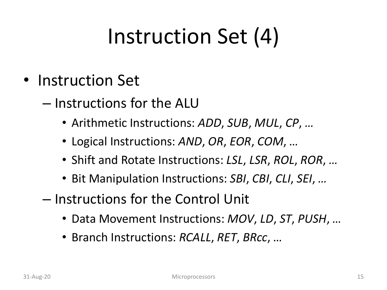#### Instruction Set (4)

- Instruction Set
	- Instructions for the ALU
		- Arithmetic Instructions: *ADD*, *SUB*, *MUL*, *CP*, *…*
		- Logical Instructions: *AND*, *OR*, *EOR*, *COM*, *…*
		- Shift and Rotate Instructions: *LSL*, *LSR*, *ROL*, *ROR*, *…*
		- Bit Manipulation Instructions: *SBI*, *CBI*, *CLI*, *SEI*, *…*
	- Instructions for the Control Unit
		- Data Movement Instructions: *MOV*, *LD*, *ST*, *PUSH*, *…*
		- Branch Instructions: *RCALL*, *RET*, *BRcc*, *…*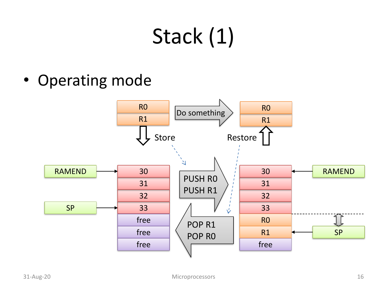## Stack (1)

• Operating mode